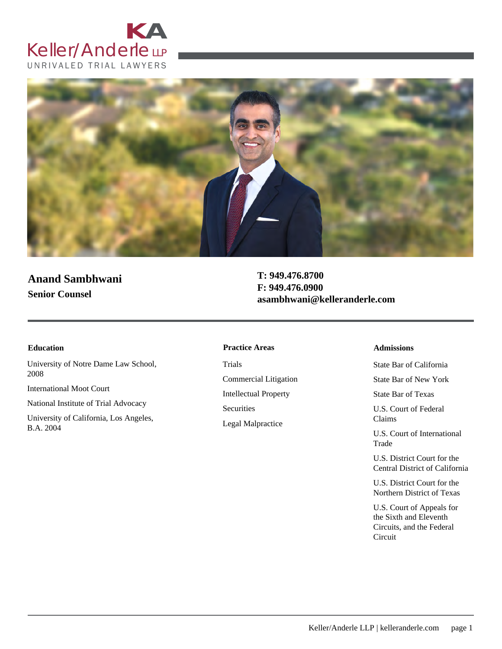



# **Anand Sambhwani Senior Counsel**

**T: 949.476.8700 F: 949.476.0900 asambhwani@kelleranderle.com**

University of Notre Dame Law School, 2008

International Moot Court

National Institute of Trial Advocacy

University of California, Los Angeles, B.A. 2004

#### **Education Admissions Practice Areas**

Trials Commercial Litigation Intellectual Property **Securities** Legal Malpractice

State Bar of California

State Bar of New York

State Bar of Texas

U.S. Court of Federal Claims

U.S. Court of International Trade

U.S. District Court for the Central District of California

U.S. District Court for the Northern District of Texas

U.S. Court of Appeals for the Sixth and Eleventh Circuits, and the Federal Circuit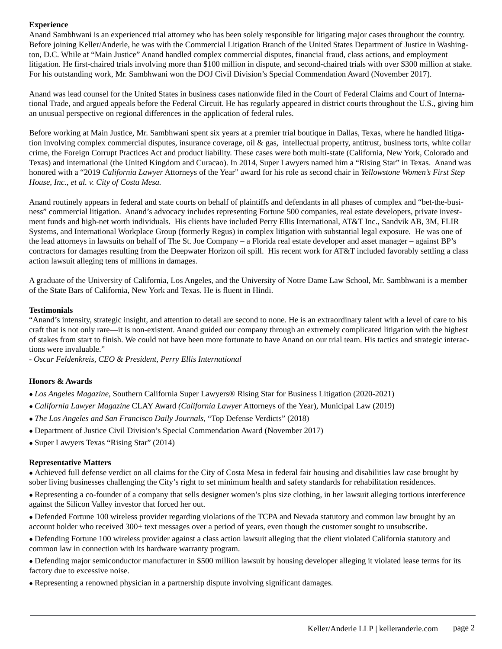# **Experience**

Anand Sambhwani is an experienced trial attorney who has been solely responsible for litigating major cases throughout the country. Before joining Keller/Anderle, he was with the Commercial Litigation Branch of the United States Department of Justice in Washington, D.C. While at "Main Justice" Anand handled complex commercial disputes, financial fraud, class actions, and employment litigation. He first-chaired trials involving more than \$100 million in dispute, and second-chaired trials with over \$300 million at stake. For his outstanding work, Mr. Sambhwani won the DOJ Civil Division's Special Commendation Award (November 2017).

Anand was lead counsel for the United States in business cases nationwide filed in the Court of Federal Claims and Court of International Trade, and argued appeals before the Federal Circuit. He has regularly appeared in district courts throughout the U.S., giving him an unusual perspective on regional differences in the application of federal rules.

Before working at Main Justice, Mr. Sambhwani spent six years at a premier trial boutique in Dallas, Texas, where he handled litigation involving complex commercial disputes, insurance coverage, oil & gas, intellectual property, antitrust, business torts, white collar crime, the Foreign Corrupt Practices Act and product liability. These cases were both multi-state (California, New York, Colorado and Texas) and international (the United Kingdom and Curacao). In 2014, Super Lawyers named him a "Rising Star" in Texas. Anand was honored with a "2019 *California Lawyer* Attorneys of the Year" award for his role as second chair in *Yellowstone Women's First Step House, Inc., et al. v. City of Costa Mesa.*

Anand routinely appears in federal and state courts on behalf of plaintiffs and defendants in all phases of complex and "bet-the-business" commercial litigation. Anand's advocacy includes representing Fortune 500 companies, real estate developers, private investment funds and high-net worth individuals. His clients have included Perry Ellis International, AT&T Inc., Sandvik AB, 3M, FLIR Systems, and International Workplace Group (formerly Regus) in complex litigation with substantial legal exposure. He was one of the lead attorneys in lawsuits on behalf of The St. Joe Company – a Florida real estate developer and asset manager – against BP's contractors for damages resulting from the Deepwater Horizon oil spill. His recent work for AT&T included favorably settling a class action lawsuit alleging tens of millions in damages.

A graduate of the University of California, Los Angeles, and the University of Notre Dame Law School, Mr. Sambhwani is a member of the State Bars of California, New York and Texas. He is fluent in Hindi.

### **Testimonials**

"Anand's intensity, strategic insight, and attention to detail are second to none. He is an extraordinary talent with a level of care to his craft that is not only rare—it is non-existent. Anand guided our company through an extremely complicated litigation with the highest of stakes from start to finish. We could not have been more fortunate to have Anand on our trial team. His tactics and strategic interactions were invaluable."

*- Oscar Feldenkreis, CEO & President, Perry Ellis International*

# **Honors & Awards**

- *● Los Angeles Magazine,* Southern California Super Lawyers® Rising Star for Business Litigation (2020-2021)
- *● California Lawyer Magazine* CLAY Award *(California Lawyer* Attorneys of the Year), Municipal Law (2019)
- *● The Los Angeles and San Francisco Daily Journals,* "Top Defense Verdicts" (2018)
- *●* Department of Justice Civil Division's Special Commendation Award (November 2017)
- Super Lawyers Texas "Rising Star" (2014)

### **Representative Matters**

*●* Achieved full defense verdict on all claims for the City of Costa Mesa in federal fair housing and disabilities law case brought by sober living businesses challenging the City's right to set minimum health and safety standards for rehabilitation residences.

*●* Representing a co-founder of a company that sells designer women's plus size clothing, in her lawsuit alleging tortious interference against the Silicon Valley investor that forced her out.

*●* Defended Fortune 100 wireless provider regarding violations of the TCPA and Nevada statutory and common law brought by an account holder who received 300+ text messages over a period of years, even though the customer sought to unsubscribe.

*●* Defending Fortune 100 wireless provider against a class action lawsuit alleging that the client violated California statutory and common law in connection with its hardware warranty program.

*●* Defending major semiconductor manufacturer in \$500 million lawsuit by housing developer alleging it violated lease terms for its factory due to excessive noise.

*●* Representing a renowned physician in a partnership dispute involving significant damages.